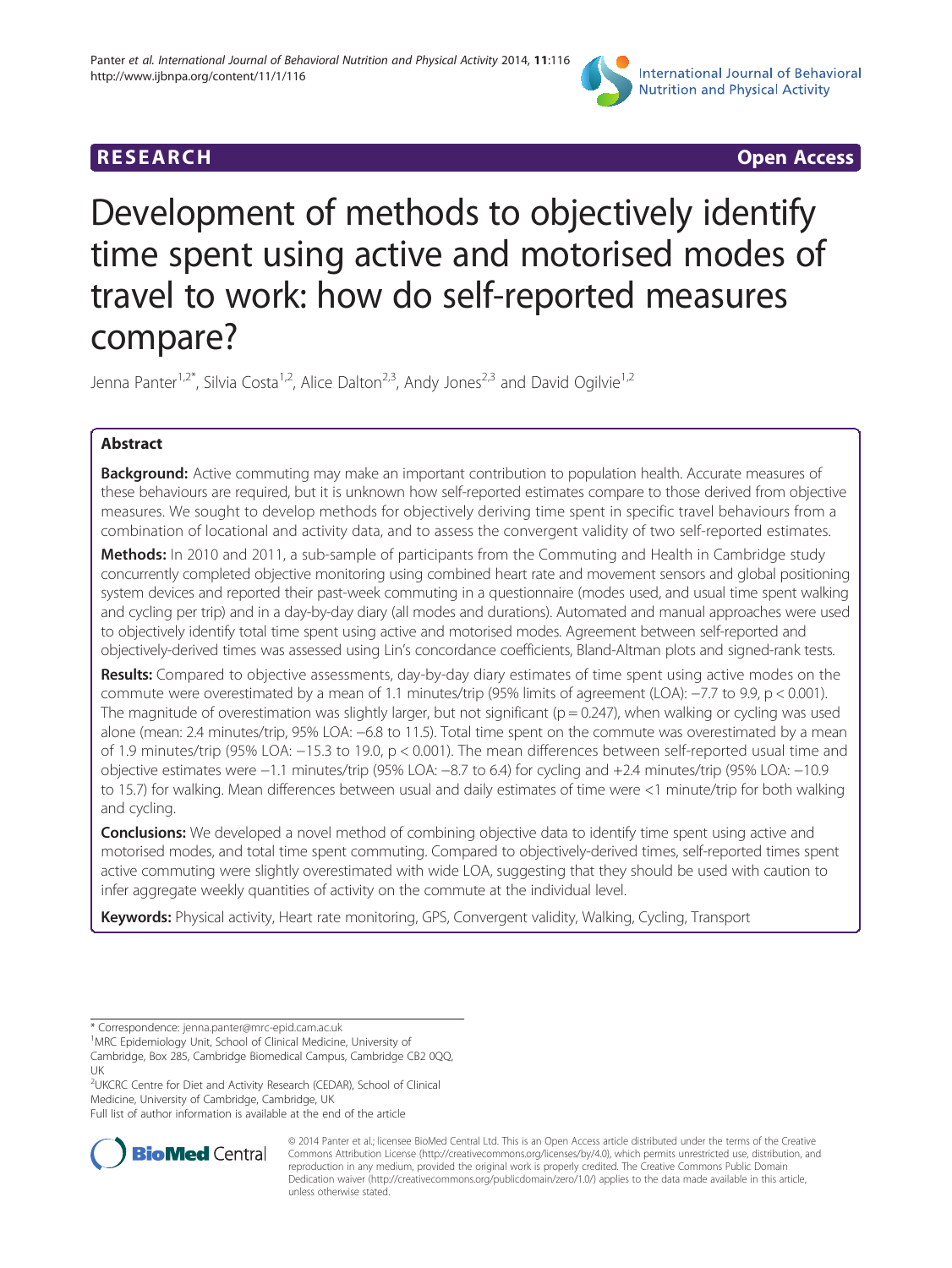

**RESEARCH RESEARCH CONSUMING ACCESS** 

# Development of methods to objectively identify time spent using active and motorised modes of travel to work: how do self-reported measures compare?

Jenna Panter<sup>1,2\*</sup>, Silvia Costa<sup>1,2</sup>, Alice Dalton<sup>2,3</sup>, Andy Jones<sup>2,3</sup> and David Ogilvie<sup>1,2</sup>

### Abstract

**Background:** Active commuting may make an important contribution to population health. Accurate measures of these behaviours are required, but it is unknown how self-reported estimates compare to those derived from objective measures. We sought to develop methods for objectively deriving time spent in specific travel behaviours from a combination of locational and activity data, and to assess the convergent validity of two self-reported estimates.

Methods: In 2010 and 2011, a sub-sample of participants from the Commuting and Health in Cambridge study concurrently completed objective monitoring using combined heart rate and movement sensors and global positioning system devices and reported their past-week commuting in a questionnaire (modes used, and usual time spent walking and cycling per trip) and in a day-by-day diary (all modes and durations). Automated and manual approaches were used to objectively identify total time spent using active and motorised modes. Agreement between self-reported and objectively-derived times was assessed using Lin's concordance coefficients, Bland-Altman plots and signed-rank tests.

Results: Compared to objective assessments, day-by-day diary estimates of time spent using active modes on the commute were overestimated by a mean of 1.1 minutes/trip (95% limits of agreement (LOA): −7.7 to 9.9, p < 0.001). The magnitude of overestimation was slightly larger, but not significant ( $p = 0.247$ ), when walking or cycling was used alone (mean: 2.4 minutes/trip, 95% LOA: −6.8 to 11.5). Total time spent on the commute was overestimated by a mean of 1.9 minutes/trip (95% LOA: −15.3 to 19.0, p < 0.001). The mean differences between self-reported usual time and objective estimates were −1.1 minutes/trip (95% LOA: −8.7 to 6.4) for cycling and +2.4 minutes/trip (95% LOA: −10.9 to 15.7) for walking. Mean differences between usual and daily estimates of time were <1 minute/trip for both walking and cycling.

**Conclusions:** We developed a novel method of combining objective data to identify time spent using active and motorised modes, and total time spent commuting. Compared to objectively-derived times, self-reported times spent active commuting were slightly overestimated with wide LOA, suggesting that they should be used with caution to infer aggregate weekly quantities of activity on the commute at the individual level.

Keywords: Physical activity, Heart rate monitoring, GPS, Convergent validity, Walking, Cycling, Transport

<sup>2</sup>UKCRC Centre for Diet and Activity Research (CEDAR), School of Clinical Medicine, University of Cambridge, Cambridge, UK

Full list of author information is available at the end of the article



© 2014 Panter et al.; licensee BioMed Central Ltd. This is an Open Access article distributed under the terms of the Creative Commons Attribution License (http://creativecommons.org/licenses/by/4.0), which permits unrestricted use, distribution, and reproduction in any medium, provided the original work is properly credited. The Creative Commons Public Domain Dedication waiver (http://creativecommons.org/publicdomain/zero/1.0/) applies to the data made available in this article, unless otherwise stated.

<sup>\*</sup> Correspondence: [jenna.panter@mrc-epid.cam.ac.uk](mailto:jenna.panter@mrc-epid.cam.ac.uk) <sup>1</sup>

<sup>&</sup>lt;sup>1</sup>MRC Epidemiology Unit, School of Clinical Medicine, University of

Cambridge, Box 285, Cambridge Biomedical Campus, Cambridge CB2 0QQ, UK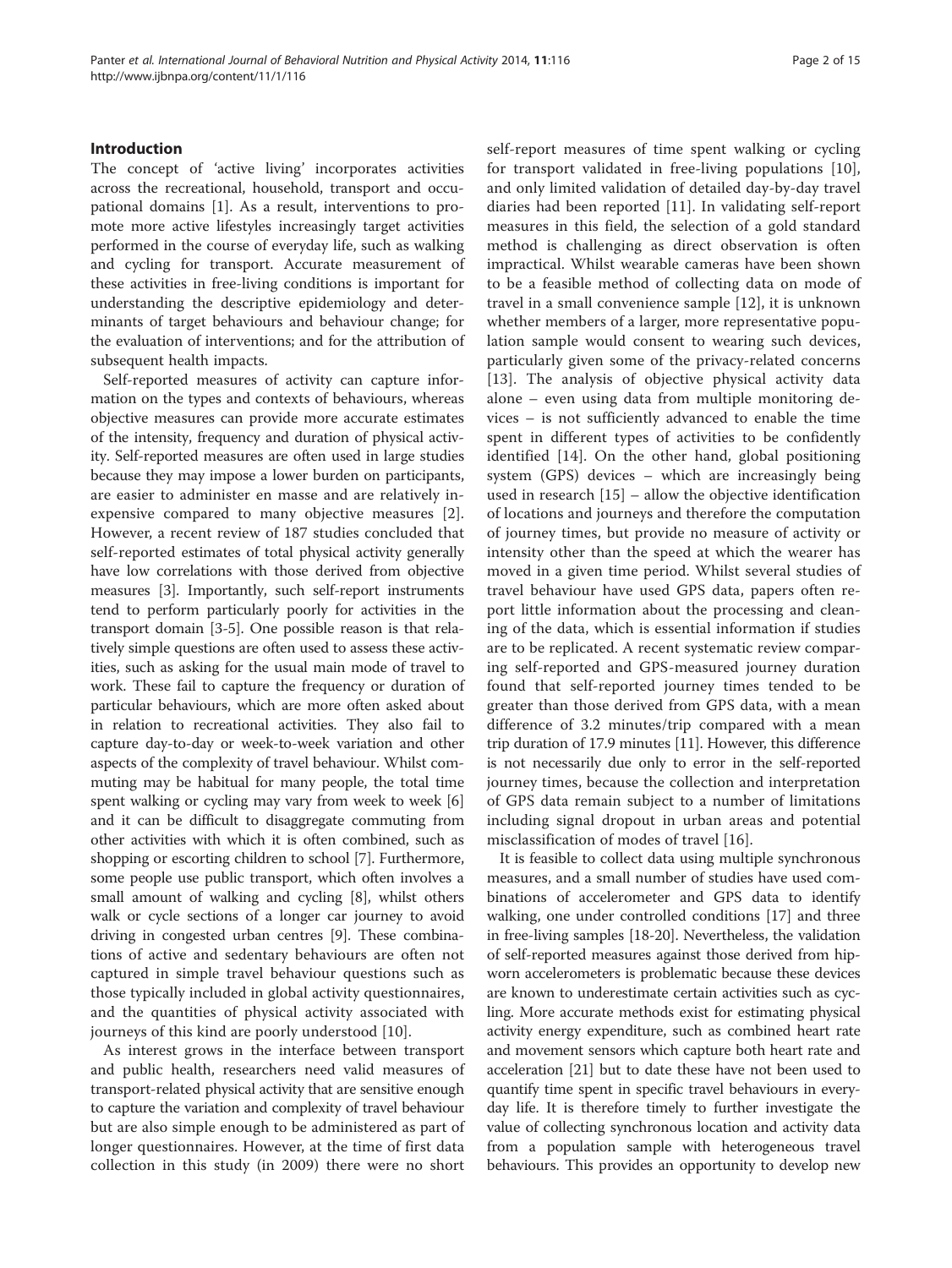#### Introduction

The concept of 'active living' incorporates activities across the recreational, household, transport and occupational domains [[1](#page-13-0)]. As a result, interventions to promote more active lifestyles increasingly target activities performed in the course of everyday life, such as walking and cycling for transport. Accurate measurement of these activities in free-living conditions is important for understanding the descriptive epidemiology and determinants of target behaviours and behaviour change; for the evaluation of interventions; and for the attribution of subsequent health impacts.

Self-reported measures of activity can capture information on the types and contexts of behaviours, whereas objective measures can provide more accurate estimates of the intensity, frequency and duration of physical activity. Self-reported measures are often used in large studies because they may impose a lower burden on participants, are easier to administer en masse and are relatively inexpensive compared to many objective measures [\[2](#page-13-0)]. However, a recent review of 187 studies concluded that self-reported estimates of total physical activity generally have low correlations with those derived from objective measures [\[3](#page-13-0)]. Importantly, such self-report instruments tend to perform particularly poorly for activities in the transport domain [\[3](#page-13-0)-[5\]](#page-13-0). One possible reason is that relatively simple questions are often used to assess these activities, such as asking for the usual main mode of travel to work. These fail to capture the frequency or duration of particular behaviours, which are more often asked about in relation to recreational activities. They also fail to capture day-to-day or week-to-week variation and other aspects of the complexity of travel behaviour. Whilst commuting may be habitual for many people, the total time spent walking or cycling may vary from week to week [[6](#page-13-0)] and it can be difficult to disaggregate commuting from other activities with which it is often combined, such as shopping or escorting children to school [[7](#page-13-0)]. Furthermore, some people use public transport, which often involves a small amount of walking and cycling [\[8](#page-13-0)], whilst others walk or cycle sections of a longer car journey to avoid driving in congested urban centres [[9](#page-13-0)]. These combinations of active and sedentary behaviours are often not captured in simple travel behaviour questions such as those typically included in global activity questionnaires, and the quantities of physical activity associated with journeys of this kind are poorly understood [\[10](#page-13-0)].

As interest grows in the interface between transport and public health, researchers need valid measures of transport-related physical activity that are sensitive enough to capture the variation and complexity of travel behaviour but are also simple enough to be administered as part of longer questionnaires. However, at the time of first data collection in this study (in 2009) there were no short self-report measures of time spent walking or cycling for transport validated in free-living populations [\[10](#page-13-0)], and only limited validation of detailed day-by-day travel diaries had been reported [[11\]](#page-13-0). In validating self-report measures in this field, the selection of a gold standard method is challenging as direct observation is often impractical. Whilst wearable cameras have been shown to be a feasible method of collecting data on mode of travel in a small convenience sample [\[12](#page-13-0)], it is unknown whether members of a larger, more representative population sample would consent to wearing such devices, particularly given some of the privacy-related concerns [[13\]](#page-13-0). The analysis of objective physical activity data alone – even using data from multiple monitoring devices – is not sufficiently advanced to enable the time spent in different types of activities to be confidently identified [[14\]](#page-13-0). On the other hand, global positioning system (GPS) devices – which are increasingly being used in research [\[15](#page-13-0)] – allow the objective identification of locations and journeys and therefore the computation of journey times, but provide no measure of activity or intensity other than the speed at which the wearer has moved in a given time period. Whilst several studies of travel behaviour have used GPS data, papers often report little information about the processing and cleaning of the data, which is essential information if studies are to be replicated. A recent systematic review comparing self-reported and GPS-measured journey duration found that self-reported journey times tended to be greater than those derived from GPS data, with a mean difference of 3.2 minutes/trip compared with a mean trip duration of 17.9 minutes [\[11\]](#page-13-0). However, this difference is not necessarily due only to error in the self-reported journey times, because the collection and interpretation of GPS data remain subject to a number of limitations including signal dropout in urban areas and potential misclassification of modes of travel [[16\]](#page-13-0).

It is feasible to collect data using multiple synchronous measures, and a small number of studies have used combinations of accelerometer and GPS data to identify walking, one under controlled conditions [[17](#page-13-0)] and three in free-living samples [[18](#page-13-0)-[20](#page-13-0)]. Nevertheless, the validation of self-reported measures against those derived from hipworn accelerometers is problematic because these devices are known to underestimate certain activities such as cycling. More accurate methods exist for estimating physical activity energy expenditure, such as combined heart rate and movement sensors which capture both heart rate and acceleration [\[21\]](#page-13-0) but to date these have not been used to quantify time spent in specific travel behaviours in everyday life. It is therefore timely to further investigate the value of collecting synchronous location and activity data from a population sample with heterogeneous travel behaviours. This provides an opportunity to develop new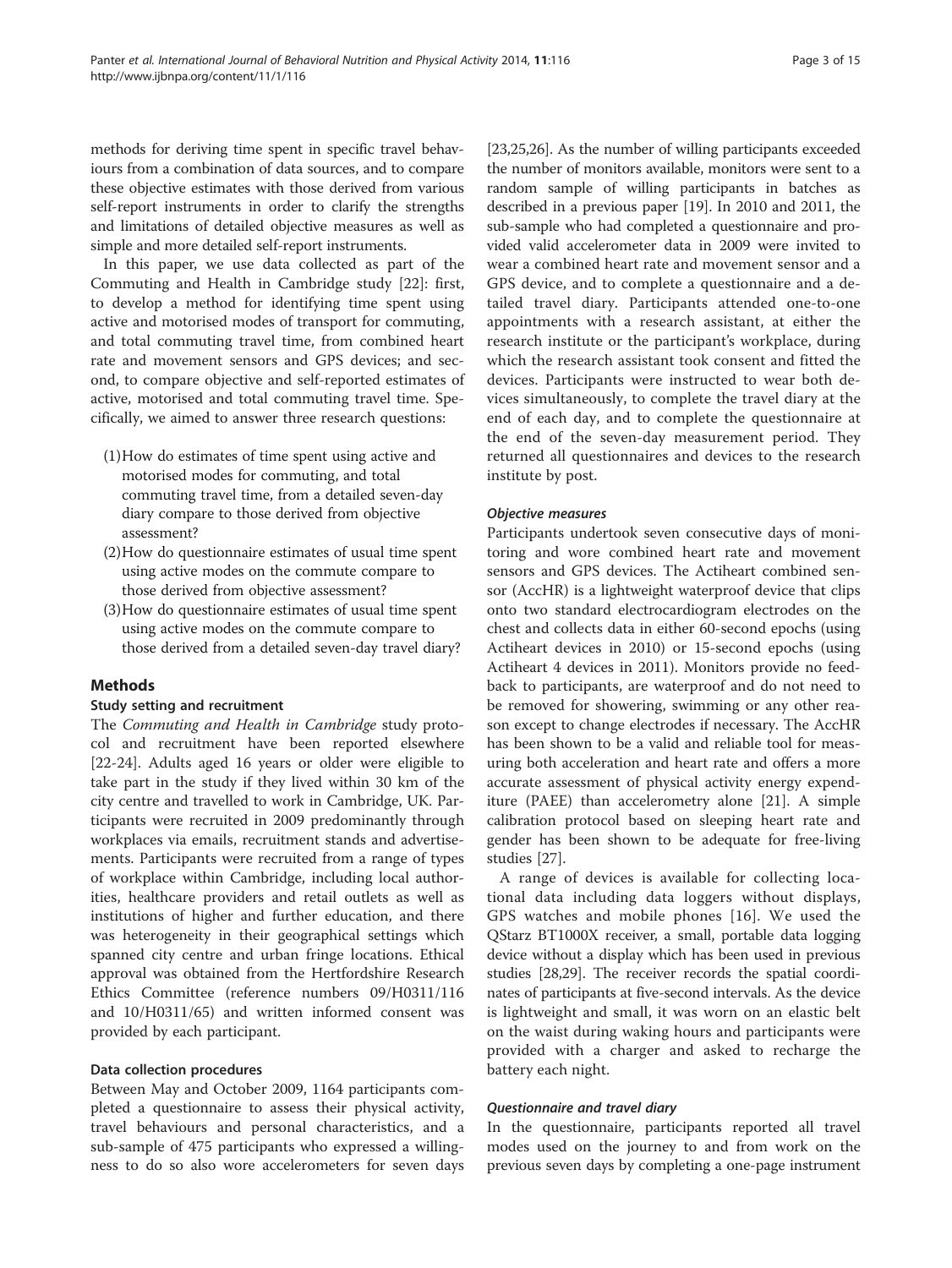<span id="page-2-0"></span>methods for deriving time spent in specific travel behaviours from a combination of data sources, and to compare these objective estimates with those derived from various self-report instruments in order to clarify the strengths and limitations of detailed objective measures as well as simple and more detailed self-report instruments.

In this paper, we use data collected as part of the Commuting and Health in Cambridge study [[22\]](#page-13-0): first, to develop a method for identifying time spent using active and motorised modes of transport for commuting, and total commuting travel time, from combined heart rate and movement sensors and GPS devices; and second, to compare objective and self-reported estimates of active, motorised and total commuting travel time. Specifically, we aimed to answer three research questions:

- (1)How do estimates of time spent using active and motorised modes for commuting, and total commuting travel time, from a detailed seven-day diary compare to those derived from objective assessment?
- (2)How do questionnaire estimates of usual time spent using active modes on the commute compare to those derived from objective assessment?
- (3)How do questionnaire estimates of usual time spent using active modes on the commute compare to those derived from a detailed seven-day travel diary?

#### Methods

#### Study setting and recruitment

The Commuting and Health in Cambridge study protocol and recruitment have been reported elsewhere [[22-24](#page-13-0)]. Adults aged 16 years or older were eligible to take part in the study if they lived within 30 km of the city centre and travelled to work in Cambridge, UK. Participants were recruited in 2009 predominantly through workplaces via emails, recruitment stands and advertisements. Participants were recruited from a range of types of workplace within Cambridge, including local authorities, healthcare providers and retail outlets as well as institutions of higher and further education, and there was heterogeneity in their geographical settings which spanned city centre and urban fringe locations. Ethical approval was obtained from the Hertfordshire Research Ethics Committee (reference numbers 09/H0311/116 and 10/H0311/65) and written informed consent was provided by each participant.

#### Data collection procedures

Between May and October 2009, 1164 participants completed a questionnaire to assess their physical activity, travel behaviours and personal characteristics, and a sub-sample of 475 participants who expressed a willingness to do so also wore accelerometers for seven days

[[23](#page-13-0),[25,26\]](#page-13-0). As the number of willing participants exceeded the number of monitors available, monitors were sent to a random sample of willing participants in batches as described in a previous paper [[19](#page-13-0)]. In 2010 and 2011, the sub-sample who had completed a questionnaire and provided valid accelerometer data in 2009 were invited to wear a combined heart rate and movement sensor and a GPS device, and to complete a questionnaire and a detailed travel diary. Participants attended one-to-one appointments with a research assistant, at either the research institute or the participant's workplace, during which the research assistant took consent and fitted the devices. Participants were instructed to wear both devices simultaneously, to complete the travel diary at the end of each day, and to complete the questionnaire at the end of the seven-day measurement period. They returned all questionnaires and devices to the research institute by post.

#### Objective measures

Participants undertook seven consecutive days of monitoring and wore combined heart rate and movement sensors and GPS devices. The Actiheart combined sensor (AccHR) is a lightweight waterproof device that clips onto two standard electrocardiogram electrodes on the chest and collects data in either 60-second epochs (using Actiheart devices in 2010) or 15-second epochs (using Actiheart 4 devices in 2011). Monitors provide no feedback to participants, are waterproof and do not need to be removed for showering, swimming or any other reason except to change electrodes if necessary. The AccHR has been shown to be a valid and reliable tool for measuring both acceleration and heart rate and offers a more accurate assessment of physical activity energy expenditure (PAEE) than accelerometry alone [\[21](#page-13-0)]. A simple calibration protocol based on sleeping heart rate and gender has been shown to be adequate for free-living studies [\[27\]](#page-13-0).

A range of devices is available for collecting locational data including data loggers without displays, GPS watches and mobile phones [\[16](#page-13-0)]. We used the QStarz BT1000X receiver, a small, portable data logging device without a display which has been used in previous studies [\[28,29](#page-13-0)]. The receiver records the spatial coordinates of participants at five-second intervals. As the device is lightweight and small, it was worn on an elastic belt on the waist during waking hours and participants were provided with a charger and asked to recharge the battery each night.

#### Questionnaire and travel diary

In the questionnaire, participants reported all travel modes used on the journey to and from work on the previous seven days by completing a one-page instrument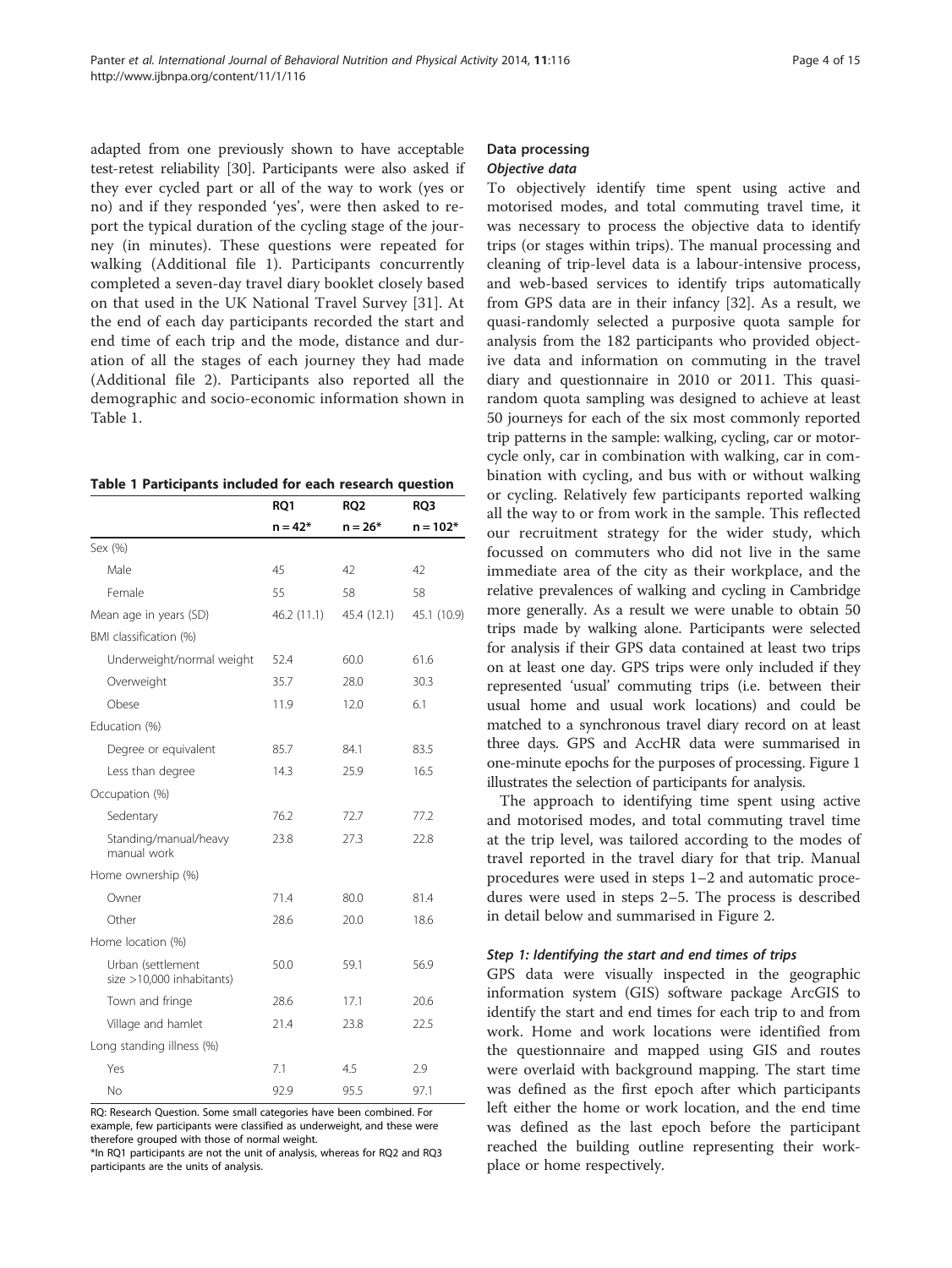<span id="page-3-0"></span>adapted from one previously shown to have acceptable test-retest reliability [[30](#page-13-0)]. Participants were also asked if they ever cycled part or all of the way to work (yes or no) and if they responded 'yes', were then asked to report the typical duration of the cycling stage of the journey (in minutes). These questions were repeated for walking (Additional file [1](#page-12-0)). Participants concurrently completed a seven-day travel diary booklet closely based on that used in the UK National Travel Survey [[31\]](#page-13-0). At the end of each day participants recorded the start and end time of each trip and the mode, distance and duration of all the stages of each journey they had made (Additional file [2\)](#page-12-0). Participants also reported all the demographic and socio-economic information shown in Table 1.

#### Table 1 Participants included for each research question

|                                                  | RQ1         | RQ <sub>2</sub> | RQ3         |
|--------------------------------------------------|-------------|-----------------|-------------|
|                                                  | $n = 42*$   | $n = 26*$       | $n = 102*$  |
| Sex (%)                                          |             |                 |             |
| Male                                             | 45          | 42              | 42          |
| Female                                           | 55          | 58              | 58          |
| Mean age in years (SD)                           | 46.2 (11.1) | 45.4 (12.1)     | 45.1 (10.9) |
| BMI classification (%)                           |             |                 |             |
| Underweight/normal weight                        | 52.4        | 60.0            | 61.6        |
| Overweight                                       | 35.7        | 28.0            | 30.3        |
| Obese                                            | 11.9        | 12.0            | 6.1         |
| Education (%)                                    |             |                 |             |
| Degree or equivalent                             | 85.7        | 84.1            | 83.5        |
| Less than degree                                 | 14.3        | 25.9            | 16.5        |
| Occupation (%)                                   |             |                 |             |
| Sedentary                                        | 76.2        | 72.7            | 77.2        |
| Standing/manual/heavy<br>manual work             | 23.8        | 27.3            | 22.8        |
| Home ownership (%)                               |             |                 |             |
| Owner                                            | 71.4        | 80.0            | 81.4        |
| Other                                            | 28.6        | 20.0            | 18.6        |
| Home location (%)                                |             |                 |             |
| Urban (settlement<br>size $>10,000$ inhabitants) | 50.0        | 59.1            | 56.9        |
| Town and fringe                                  | 28.6        | 17.1            | 20.6        |
| Village and hamlet                               | 21.4        | 23.8            | 22.5        |
| Long standing illness (%)                        |             |                 |             |
| Yes                                              | 7.1         | 4.5             | 2.9         |
| Nο                                               | 92.9        | 95.5            | 97.1        |

RQ: Research Question. Some small categories have been combined. For example, few participants were classified as underweight, and these were therefore grouped with those of normal weight.

\*In RQ1 participants are not the unit of analysis, whereas for RQ2 and RQ3 participants are the units of analysis.

## Data processing

#### Objective data

To objectively identify time spent using active and motorised modes, and total commuting travel time, it was necessary to process the objective data to identify trips (or stages within trips). The manual processing and cleaning of trip-level data is a labour-intensive process, and web-based services to identify trips automatically from GPS data are in their infancy [\[32](#page-13-0)]. As a result, we quasi-randomly selected a purposive quota sample for analysis from the 182 participants who provided objective data and information on commuting in the travel diary and questionnaire in 2010 or 2011. This quasirandom quota sampling was designed to achieve at least 50 journeys for each of the six most commonly reported trip patterns in the sample: walking, cycling, car or motorcycle only, car in combination with walking, car in combination with cycling, and bus with or without walking or cycling. Relatively few participants reported walking all the way to or from work in the sample. This reflected our recruitment strategy for the wider study, which focussed on commuters who did not live in the same immediate area of the city as their workplace, and the relative prevalences of walking and cycling in Cambridge more generally. As a result we were unable to obtain 50 trips made by walking alone. Participants were selected for analysis if their GPS data contained at least two trips on at least one day. GPS trips were only included if they represented 'usual' commuting trips (i.e. between their usual home and usual work locations) and could be matched to a synchronous travel diary record on at least three days. GPS and AccHR data were summarised in one-minute epochs for the purposes of processing. Figure [1](#page-4-0) illustrates the selection of participants for analysis.

The approach to identifying time spent using active and motorised modes, and total commuting travel time at the trip level, was tailored according to the modes of travel reported in the travel diary for that trip. Manual procedures were used in steps 1–2 and automatic procedures were used in steps 2–5. The process is described in detail below and summarised in Figure [2.](#page-5-0)

#### Step 1: Identifying the start and end times of trips

GPS data were visually inspected in the geographic information system (GIS) software package ArcGIS to identify the start and end times for each trip to and from work. Home and work locations were identified from the questionnaire and mapped using GIS and routes were overlaid with background mapping. The start time was defined as the first epoch after which participants left either the home or work location, and the end time was defined as the last epoch before the participant reached the building outline representing their workplace or home respectively.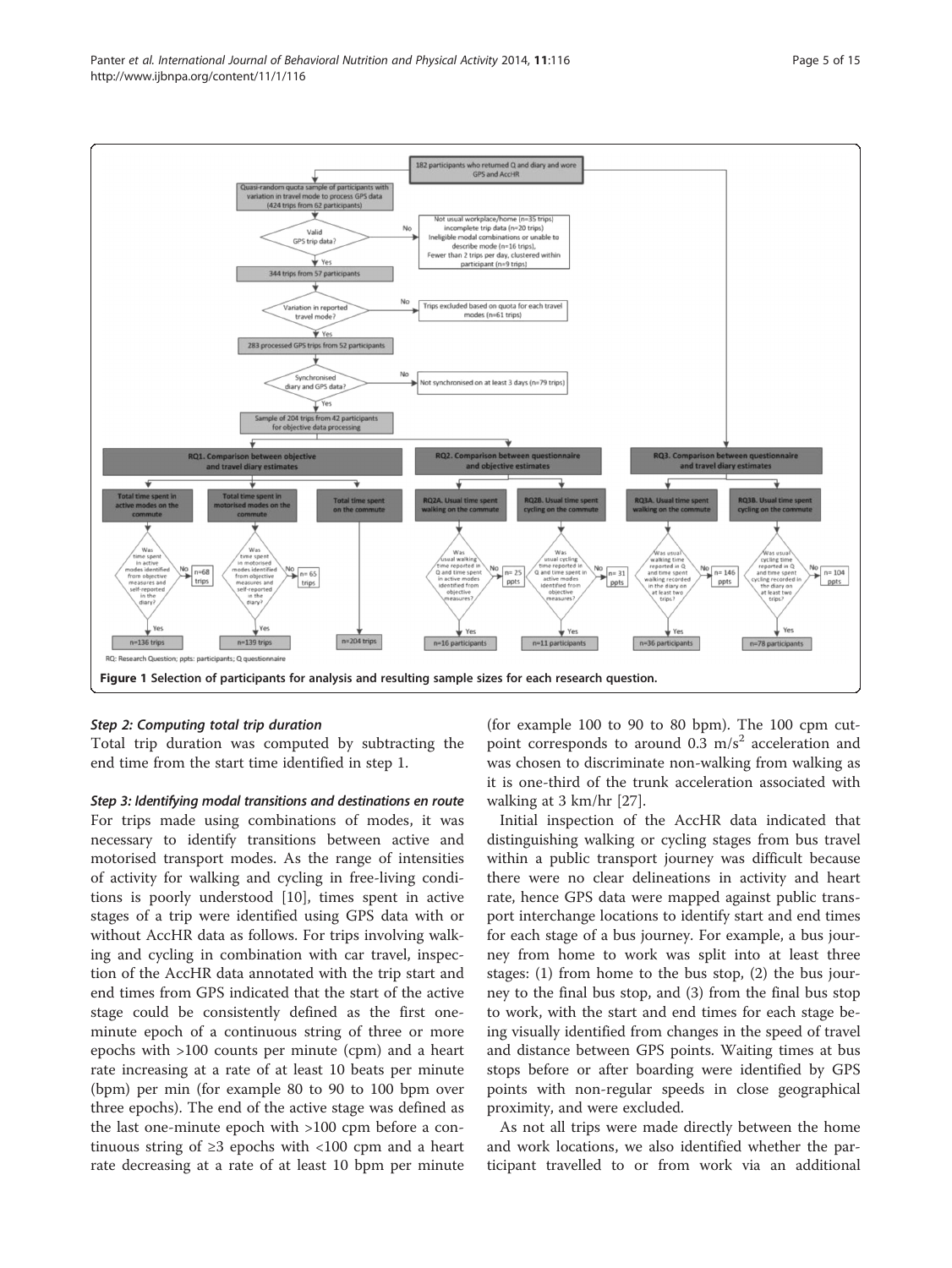<span id="page-4-0"></span>

#### Step 2: Computing total trip duration

Total trip duration was computed by subtracting the end time from the start time identified in step 1.

#### Step 3: Identifying modal transitions and destinations en route

For trips made using combinations of modes, it was necessary to identify transitions between active and motorised transport modes. As the range of intensities of activity for walking and cycling in free-living conditions is poorly understood [\[10](#page-13-0)], times spent in active stages of a trip were identified using GPS data with or without AccHR data as follows. For trips involving walking and cycling in combination with car travel, inspection of the AccHR data annotated with the trip start and end times from GPS indicated that the start of the active stage could be consistently defined as the first oneminute epoch of a continuous string of three or more epochs with >100 counts per minute (cpm) and a heart rate increasing at a rate of at least 10 beats per minute (bpm) per min (for example 80 to 90 to 100 bpm over three epochs). The end of the active stage was defined as the last one-minute epoch with >100 cpm before a continuous string of ≥3 epochs with <100 cpm and a heart rate decreasing at a rate of at least 10 bpm per minute (for example 100 to 90 to 80 bpm). The 100 cpm cutpoint corresponds to around 0.3  $m/s<sup>2</sup>$  acceleration and was chosen to discriminate non-walking from walking as it is one-third of the trunk acceleration associated with walking at 3 km/hr [\[27\]](#page-13-0).

Initial inspection of the AccHR data indicated that distinguishing walking or cycling stages from bus travel within a public transport journey was difficult because there were no clear delineations in activity and heart rate, hence GPS data were mapped against public transport interchange locations to identify start and end times for each stage of a bus journey. For example, a bus journey from home to work was split into at least three stages: (1) from home to the bus stop, (2) the bus journey to the final bus stop, and (3) from the final bus stop to work, with the start and end times for each stage being visually identified from changes in the speed of travel and distance between GPS points. Waiting times at bus stops before or after boarding were identified by GPS points with non-regular speeds in close geographical proximity, and were excluded.

As not all trips were made directly between the home and work locations, we also identified whether the participant travelled to or from work via an additional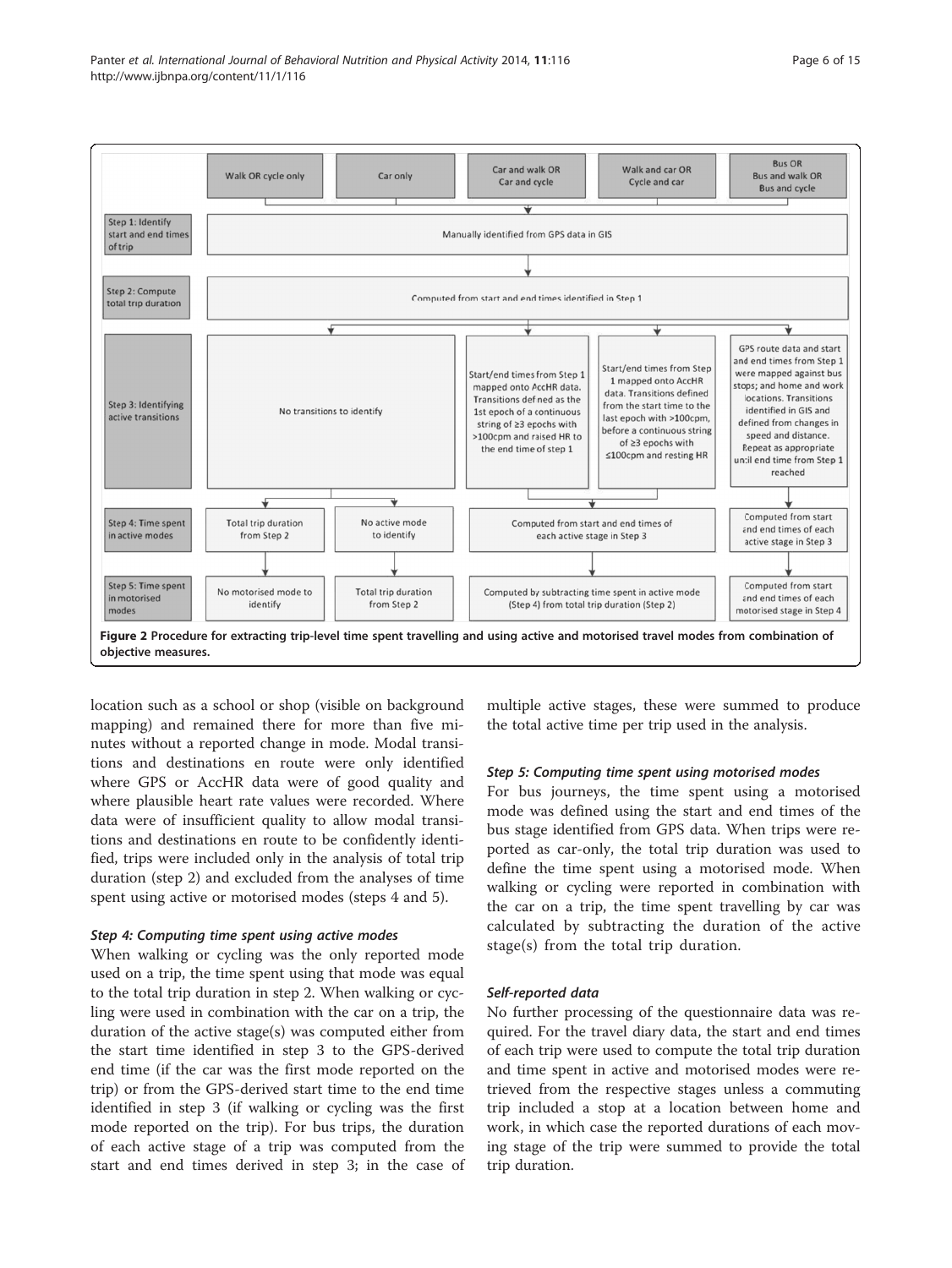<span id="page-5-0"></span>

location such as a school or shop (visible on background mapping) and remained there for more than five minutes without a reported change in mode. Modal transitions and destinations en route were only identified where GPS or AccHR data were of good quality and where plausible heart rate values were recorded. Where data were of insufficient quality to allow modal transitions and destinations en route to be confidently identified, trips were included only in the analysis of total trip duration (step 2) and excluded from the analyses of time spent using active or motorised modes (steps 4 and 5).

#### Step 4: Computing time spent using active modes

When walking or cycling was the only reported mode used on a trip, the time spent using that mode was equal to the total trip duration in step 2. When walking or cycling were used in combination with the car on a trip, the duration of the active stage(s) was computed either from the start time identified in step 3 to the GPS-derived end time (if the car was the first mode reported on the trip) or from the GPS-derived start time to the end time identified in step 3 (if walking or cycling was the first mode reported on the trip). For bus trips, the duration of each active stage of a trip was computed from the start and end times derived in step 3; in the case of multiple active stages, these were summed to produce the total active time per trip used in the analysis.

#### Step 5: Computing time spent using motorised modes

For bus journeys, the time spent using a motorised mode was defined using the start and end times of the bus stage identified from GPS data. When trips were reported as car-only, the total trip duration was used to define the time spent using a motorised mode. When walking or cycling were reported in combination with the car on a trip, the time spent travelling by car was calculated by subtracting the duration of the active stage(s) from the total trip duration.

#### Self-reported data

No further processing of the questionnaire data was required. For the travel diary data, the start and end times of each trip were used to compute the total trip duration and time spent in active and motorised modes were retrieved from the respective stages unless a commuting trip included a stop at a location between home and work, in which case the reported durations of each moving stage of the trip were summed to provide the total trip duration.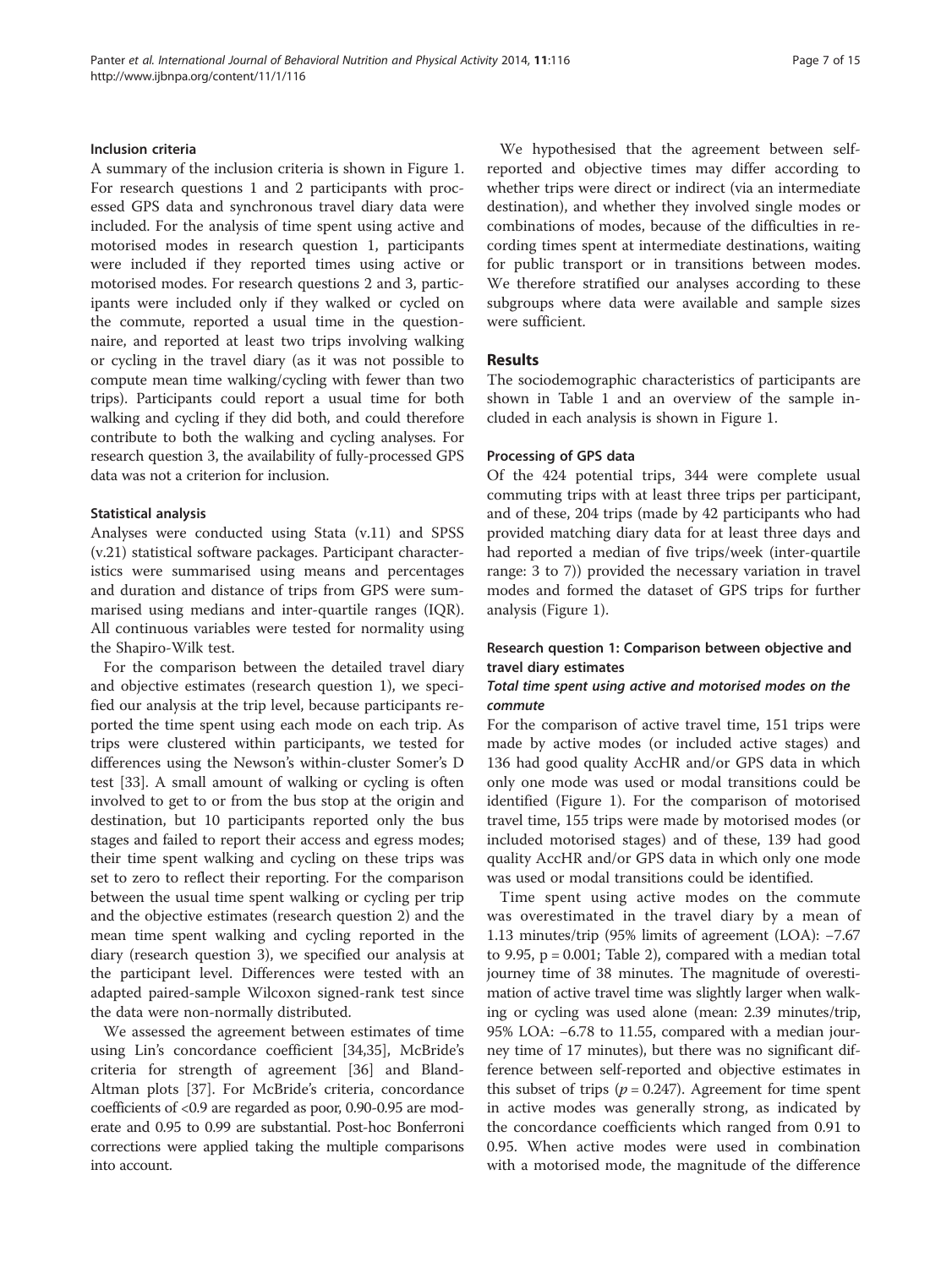#### Inclusion criteria

A summary of the inclusion criteria is shown in Figure [1](#page-4-0). For research questions 1 and 2 participants with processed GPS data and synchronous travel diary data were included. For the analysis of time spent using active and motorised modes in research question 1, participants were included if they reported times using active or motorised modes. For research questions 2 and 3, participants were included only if they walked or cycled on the commute, reported a usual time in the questionnaire, and reported at least two trips involving walking or cycling in the travel diary (as it was not possible to compute mean time walking/cycling with fewer than two trips). Participants could report a usual time for both walking and cycling if they did both, and could therefore contribute to both the walking and cycling analyses. For research question 3, the availability of fully-processed GPS data was not a criterion for inclusion.

#### Statistical analysis

Analyses were conducted using Stata (v.11) and SPSS (v.21) statistical software packages. Participant characteristics were summarised using means and percentages and duration and distance of trips from GPS were summarised using medians and inter-quartile ranges (IQR). All continuous variables were tested for normality using the Shapiro-Wilk test.

For the comparison between the detailed travel diary and objective estimates (research question 1), we specified our analysis at the trip level, because participants reported the time spent using each mode on each trip. As trips were clustered within participants, we tested for differences using the Newson's within-cluster Somer's D test [\[33\]](#page-13-0). A small amount of walking or cycling is often involved to get to or from the bus stop at the origin and destination, but 10 participants reported only the bus stages and failed to report their access and egress modes; their time spent walking and cycling on these trips was set to zero to reflect their reporting. For the comparison between the usual time spent walking or cycling per trip and the objective estimates (research question 2) and the mean time spent walking and cycling reported in the diary (research question 3), we specified our analysis at the participant level. Differences were tested with an adapted paired-sample Wilcoxon signed-rank test since the data were non-normally distributed.

We assessed the agreement between estimates of time using Lin's concordance coefficient [\[34,35](#page-13-0)], McBride's criteria for strength of agreement [[36\]](#page-13-0) and Bland-Altman plots [[37](#page-13-0)]. For McBride's criteria, concordance coefficients of <0.9 are regarded as poor, 0.90-0.95 are moderate and 0.95 to 0.99 are substantial. Post-hoc Bonferroni corrections were applied taking the multiple comparisons into account.

We hypothesised that the agreement between selfreported and objective times may differ according to whether trips were direct or indirect (via an intermediate destination), and whether they involved single modes or combinations of modes, because of the difficulties in recording times spent at intermediate destinations, waiting for public transport or in transitions between modes. We therefore stratified our analyses according to these subgroups where data were available and sample sizes were sufficient.

#### Results

The sociodemographic characteristics of participants are shown in Table [1](#page-3-0) and an overview of the sample included in each analysis is shown in Figure [1.](#page-4-0)

#### Processing of GPS data

Of the 424 potential trips, 344 were complete usual commuting trips with at least three trips per participant, and of these, 204 trips (made by 42 participants who had provided matching diary data for at least three days and had reported a median of five trips/week (inter-quartile range: 3 to 7)) provided the necessary variation in travel modes and formed the dataset of GPS trips for further analysis (Figure [1\)](#page-4-0).

#### Research question 1: Comparison between objective and travel diary estimates

#### Total time spent using active and motorised modes on the commute

For the comparison of active travel time, 151 trips were made by active modes (or included active stages) and 136 had good quality AccHR and/or GPS data in which only one mode was used or modal transitions could be identified (Figure [1](#page-4-0)). For the comparison of motorised travel time, 155 trips were made by motorised modes (or included motorised stages) and of these, 139 had good quality AccHR and/or GPS data in which only one mode was used or modal transitions could be identified.

Time spent using active modes on the commute was overestimated in the travel diary by a mean of 1.13 minutes/trip (95% limits of agreement (LOA): −7.67 to 9.95,  $p = 0.001$ ; Table [2](#page-7-0)), compared with a median total journey time of 38 minutes. The magnitude of overestimation of active travel time was slightly larger when walking or cycling was used alone (mean: 2.39 minutes/trip, 95% LOA: −6.78 to 11.55, compared with a median journey time of 17 minutes), but there was no significant difference between self-reported and objective estimates in this subset of trips ( $p = 0.247$ ). Agreement for time spent in active modes was generally strong, as indicated by the concordance coefficients which ranged from 0.91 to 0.95. When active modes were used in combination with a motorised mode, the magnitude of the difference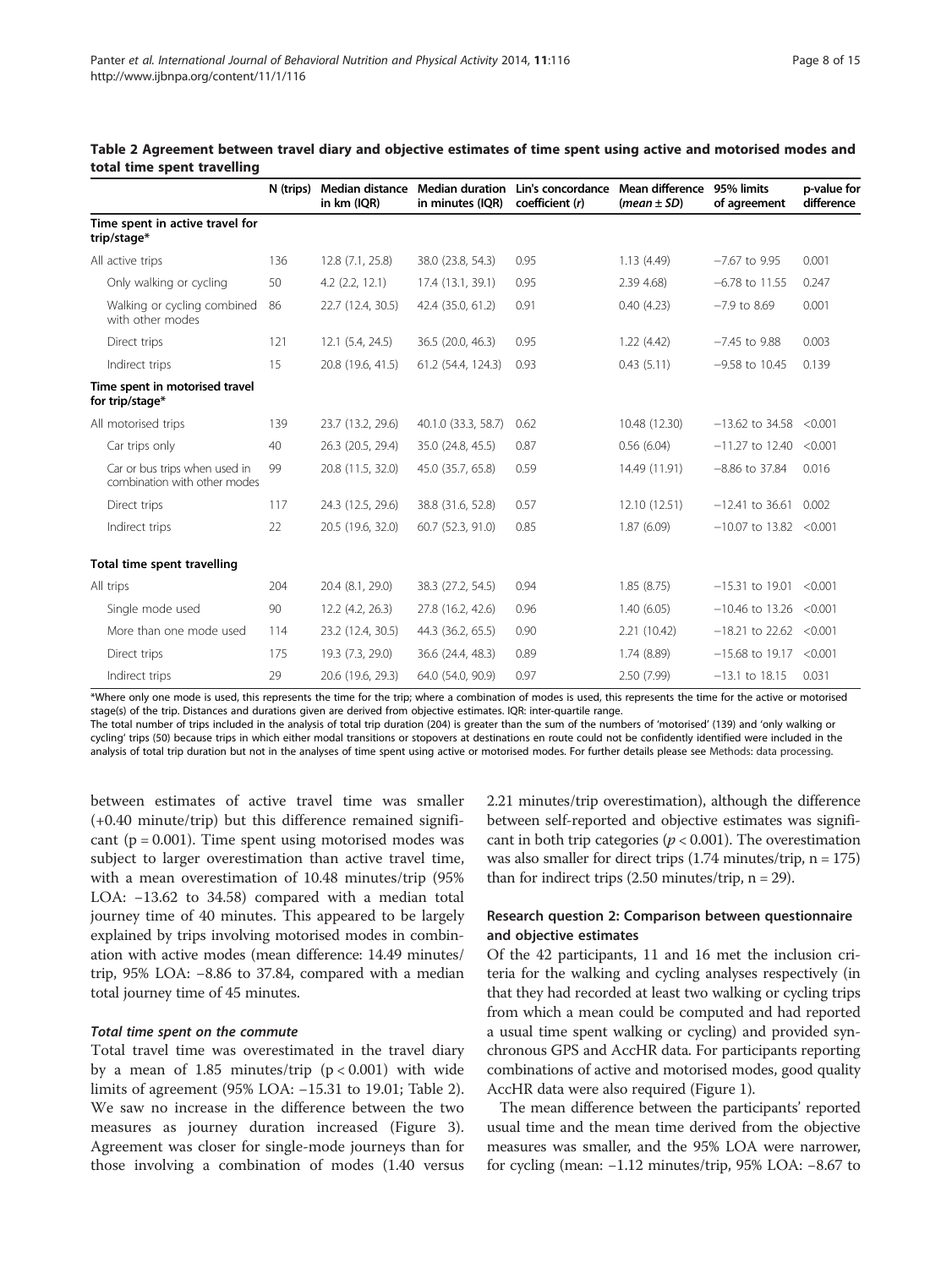|                                                               | N (trips) | Median distance<br>in km (IQR) | in minutes (IQR)    | Median duration Lin's concordance<br>coefficient (r) | Mean difference<br>$(mean \pm SD)$ | 95% limits<br>of agreement | p-value for<br>difference |
|---------------------------------------------------------------|-----------|--------------------------------|---------------------|------------------------------------------------------|------------------------------------|----------------------------|---------------------------|
| Time spent in active travel for<br>trip/stage*                |           |                                |                     |                                                      |                                    |                            |                           |
| All active trips                                              | 136       | 12.8 (7.1, 25.8)               | 38.0 (23.8, 54.3)   | 0.95                                                 | 1.13(4.49)                         | $-7.67$ to 9.95            | 0.001                     |
| Only walking or cycling                                       | 50        | $4.2$ (2.2, 12.1)              | 17.4 (13.1, 39.1)   | 0.95                                                 | 2.394.68                           | $-6.78$ to 11.55           | 0.247                     |
| Walking or cycling combined<br>with other modes               | 86        | 22.7 (12.4, 30.5)              | 42.4 (35.0, 61.2)   | 0.91                                                 | 0.40(4.23)                         | $-7.9$ to 8.69             | 0.001                     |
| Direct trips                                                  | 121       | 12.1 (5.4, 24.5)               | 36.5 (20.0, 46.3)   | 0.95                                                 | 1.22(4.42)                         | $-7.45$ to 9.88            | 0.003                     |
| Indirect trips                                                | 15        | 20.8 (19.6, 41.5)              | 61.2 (54.4, 124.3)  | 0.93                                                 | 0.43(5.11)                         | $-9.58$ to 10.45           | 0.139                     |
| Time spent in motorised travel<br>for trip/stage*             |           |                                |                     |                                                      |                                    |                            |                           |
| All motorised trips                                           | 139       | 23.7 (13.2, 29.6)              | 40.1.0 (33.3, 58.7) | 0.62                                                 | 10.48 (12.30)                      | $-13.62$ to 34.58          | < 0.001                   |
| Car trips only                                                | 40        | 26.3 (20.5, 29.4)              | 35.0 (24.8, 45.5)   | 0.87                                                 | 0.56(6.04)                         | $-11.27$ to 12.40 < 0.001  |                           |
| Car or bus trips when used in<br>combination with other modes | 99        | 20.8 (11.5, 32.0)              | 45.0 (35.7, 65.8)   | 0.59                                                 | 14.49 (11.91)                      | $-8.86$ to 37.84           | 0.016                     |
| Direct trips                                                  | 117       | 24.3 (12.5, 29.6)              | 38.8 (31.6, 52.8)   | 0.57                                                 | 12.10 (12.51)                      | $-12.41$ to 36.61          | 0.002                     |
| Indirect trips                                                | 22        | 20.5 (19.6, 32.0)              | 60.7 (52.3, 91.0)   | 0.85                                                 | 1.87(6.09)                         | $-10.07$ to 13.82 < 0.001  |                           |
| Total time spent travelling                                   |           |                                |                     |                                                      |                                    |                            |                           |
| All trips                                                     | 204       | 20.4 (8.1, 29.0)               | 38.3 (27.2, 54.5)   | 0.94                                                 | 1.85(8.75)                         | $-15.31$ to 19.01 < 0.001  |                           |
| Single mode used                                              | 90        | 12.2 (4.2, 26.3)               | 27.8 (16.2, 42.6)   | 0.96                                                 | 1.40(6.05)                         | $-10.46$ to 13.26 < 0.001  |                           |
| More than one mode used                                       | 114       | 23.2 (12.4, 30.5)              | 44.3 (36.2, 65.5)   | 0.90                                                 | 2.21 (10.42)                       | $-18.21$ to 22.62 < 0.001  |                           |
| Direct trips                                                  | 175       | 19.3 (7.3, 29.0)               | 36.6 (24.4, 48.3)   | 0.89                                                 | 1.74 (8.89)                        | $-15.68$ to 19.17 < 0.001  |                           |
| Indirect trips                                                | 29        | 20.6 (19.6, 29.3)              | 64.0 (54.0, 90.9)   | 0.97                                                 | 2.50 (7.99)                        | $-13.1$ to 18.15           | 0.031                     |

<span id="page-7-0"></span>

| Table 2 Agreement between travel diary and objective estimates of time spent using active and motorised modes and |  |  |  |  |  |
|-------------------------------------------------------------------------------------------------------------------|--|--|--|--|--|
| total time spent travelling                                                                                       |  |  |  |  |  |

\*Where only one mode is used, this represents the time for the trip; where a combination of modes is used, this represents the time for the active or motorised stage(s) of the trip. Distances and durations given are derived from objective estimates. IOR: inter-quartile range

The total number of trips included in the analysis of total trip duration (204) is greater than the sum of the numbers of 'motorised' (139) and 'only walking or cycling' trips (50) because trips in which either modal transitions or stopovers at destinations en route could not be confidently identified were included in the analysis of total trip duration but not in the analyses of time spent using active or motorised modes. For further details please see [Methods:](#page-2-0) [data processing.](#page-3-0)

between estimates of active travel time was smaller (+0.40 minute/trip) but this difference remained significant ( $p = 0.001$ ). Time spent using motorised modes was subject to larger overestimation than active travel time, with a mean overestimation of 10.48 minutes/trip (95% LOA: −13.62 to 34.58) compared with a median total journey time of 40 minutes. This appeared to be largely explained by trips involving motorised modes in combination with active modes (mean difference: 14.49 minutes/ trip, 95% LOA: −8.86 to 37.84, compared with a median total journey time of 45 minutes.

#### Total time spent on the commute

Total travel time was overestimated in the travel diary by a mean of  $1.85$  minutes/trip ( $p < 0.001$ ) with wide limits of agreement (95% LOA: −15.31 to 19.01; Table 2). We saw no increase in the difference between the two measures as journey duration increased (Figure [3](#page-8-0)). Agreement was closer for single-mode journeys than for those involving a combination of modes (1.40 versus 2.21 minutes/trip overestimation), although the difference between self-reported and objective estimates was significant in both trip categories ( $p < 0.001$ ). The overestimation was also smaller for direct trips  $(1.74 \text{ minutes/trip}, n = 175)$ than for indirect trips  $(2.50 \text{ minutes/trip}, n = 29)$ .

#### Research question 2: Comparison between questionnaire and objective estimates

Of the 42 participants, 11 and 16 met the inclusion criteria for the walking and cycling analyses respectively (in that they had recorded at least two walking or cycling trips from which a mean could be computed and had reported a usual time spent walking or cycling) and provided synchronous GPS and AccHR data. For participants reporting combinations of active and motorised modes, good quality AccHR data were also required (Figure [1\)](#page-4-0).

The mean difference between the participants' reported usual time and the mean time derived from the objective measures was smaller, and the 95% LOA were narrower, for cycling (mean: −1.12 minutes/trip, 95% LOA: −8.67 to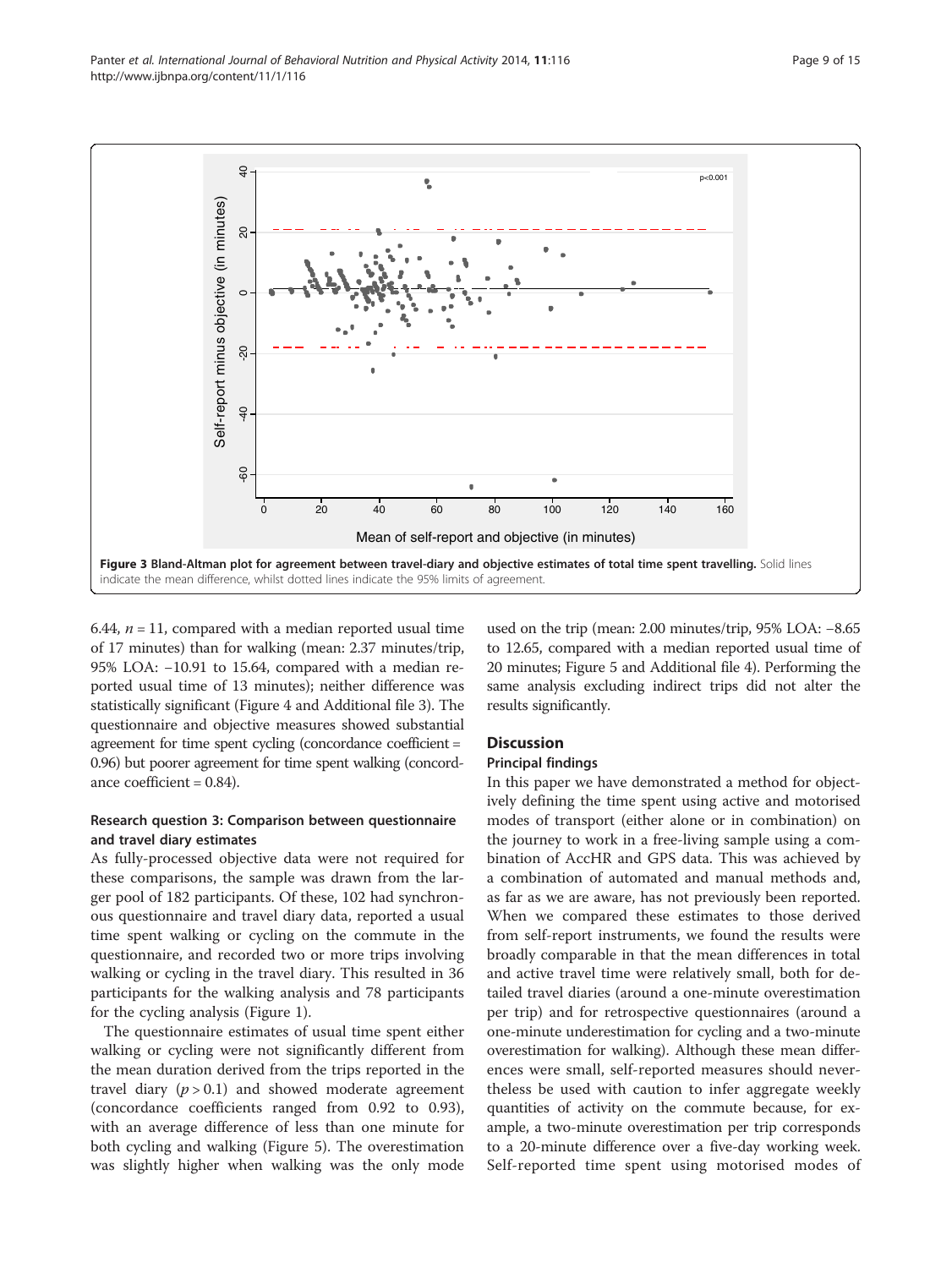6.44,  $n = 11$ , compared with a median reported usual time of 17 minutes) than for walking (mean: 2.37 minutes/trip, 95% LOA: −10.91 to 15.64, compared with a median reported usual time of 13 minutes); neither difference was statistically significant (Figure [4](#page-9-0) and Additional file [3\)](#page-12-0). The questionnaire and objective measures showed substantial agreement for time spent cycling (concordance coefficient = 0.96) but poorer agreement for time spent walking (concordance coefficient  $= 0.84$ ).

#### Research question 3: Comparison between questionnaire and travel diary estimates

As fully-processed objective data were not required for these comparisons, the sample was drawn from the larger pool of 182 participants. Of these, 102 had synchronous questionnaire and travel diary data, reported a usual time spent walking or cycling on the commute in the questionnaire, and recorded two or more trips involving walking or cycling in the travel diary. This resulted in 36 participants for the walking analysis and 78 participants for the cycling analysis (Figure [1\)](#page-4-0).

The questionnaire estimates of usual time spent either walking or cycling were not significantly different from the mean duration derived from the trips reported in the travel diary  $(p > 0.1)$  and showed moderate agreement (concordance coefficients ranged from 0.92 to 0.93), with an average difference of less than one minute for both cycling and walking (Figure [5\)](#page-10-0). The overestimation was slightly higher when walking was the only mode

used on the trip (mean: 2.00 minutes/trip, 95% LOA: −8.65 to 12.65, compared with a median reported usual time of 20 minutes; Figure [5](#page-10-0) and Additional file [4\)](#page-12-0). Performing the same analysis excluding indirect trips did not alter the results significantly.

#### **Discussion**

#### Principal findings

In this paper we have demonstrated a method for objectively defining the time spent using active and motorised modes of transport (either alone or in combination) on the journey to work in a free-living sample using a combination of AccHR and GPS data. This was achieved by a combination of automated and manual methods and, as far as we are aware, has not previously been reported. When we compared these estimates to those derived from self-report instruments, we found the results were broadly comparable in that the mean differences in total and active travel time were relatively small, both for detailed travel diaries (around a one-minute overestimation per trip) and for retrospective questionnaires (around a one-minute underestimation for cycling and a two-minute overestimation for walking). Although these mean differences were small, self-reported measures should nevertheless be used with caution to infer aggregate weekly quantities of activity on the commute because, for example, a two-minute overestimation per trip corresponds to a 20-minute difference over a five-day working week. Self-reported time spent using motorised modes of

<span id="page-8-0"></span>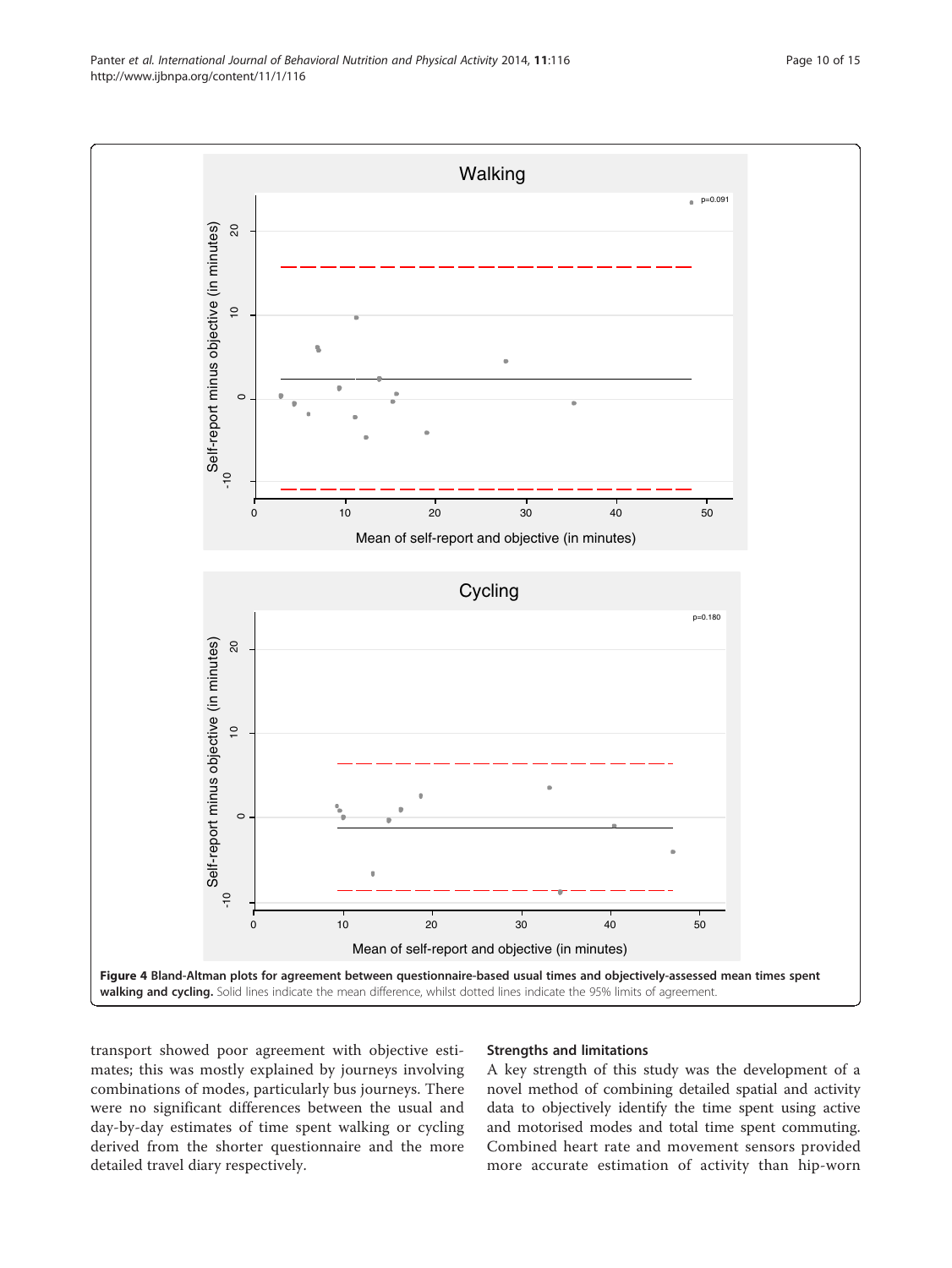<span id="page-9-0"></span>

transport showed poor agreement with objective estimates; this was mostly explained by journeys involving combinations of modes, particularly bus journeys. There were no significant differences between the usual and day-by-day estimates of time spent walking or cycling derived from the shorter questionnaire and the more detailed travel diary respectively.

#### Strengths and limitations

A key strength of this study was the development of a novel method of combining detailed spatial and activity data to objectively identify the time spent using active and motorised modes and total time spent commuting. Combined heart rate and movement sensors provided more accurate estimation of activity than hip-worn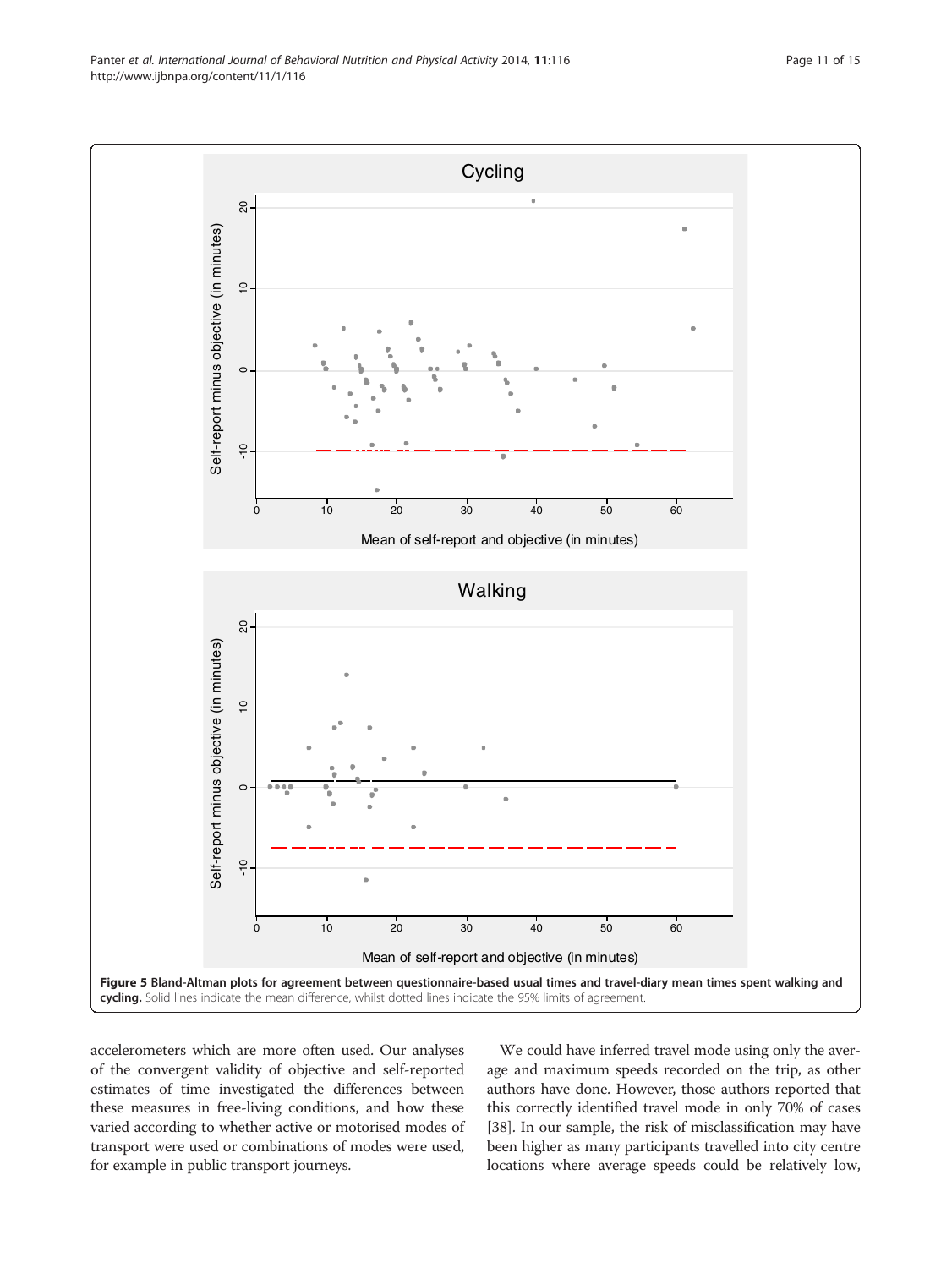<span id="page-10-0"></span>http://www.ijbnpa.org/content/11/1/116



accelerometers which are more often used. Our analyses of the convergent validity of objective and self-reported estimates of time investigated the differences between these measures in free-living conditions, and how these varied according to whether active or motorised modes of transport were used or combinations of modes were used, for example in public transport journeys.

We could have inferred travel mode using only the average and maximum speeds recorded on the trip, as other authors have done. However, those authors reported that this correctly identified travel mode in only 70% of cases [[38](#page-13-0)]. In our sample, the risk of misclassification may have been higher as many participants travelled into city centre locations where average speeds could be relatively low,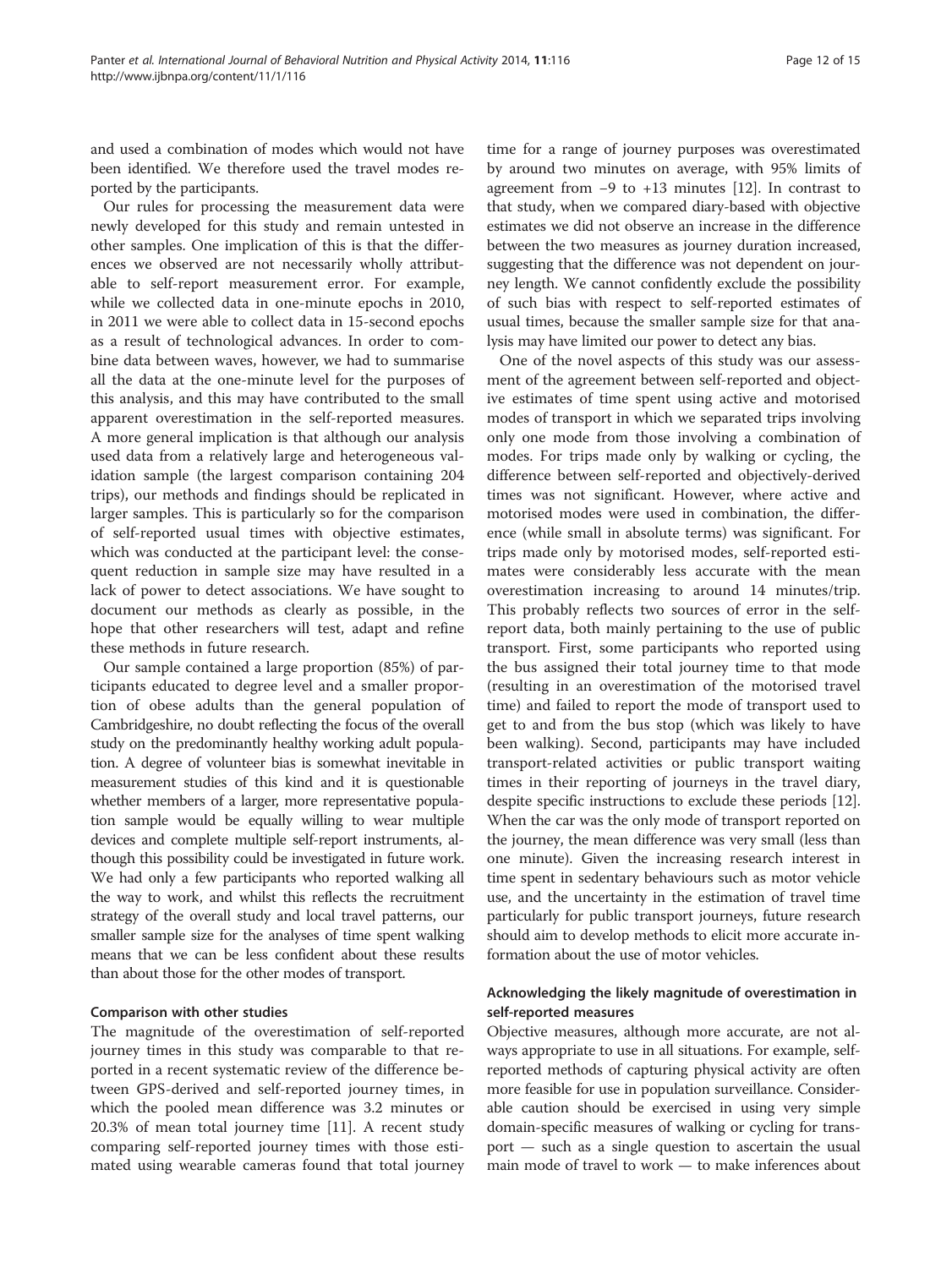and used a combination of modes which would not have been identified. We therefore used the travel modes reported by the participants.

Our rules for processing the measurement data were newly developed for this study and remain untested in other samples. One implication of this is that the differences we observed are not necessarily wholly attributable to self-report measurement error. For example, while we collected data in one-minute epochs in 2010, in 2011 we were able to collect data in 15-second epochs as a result of technological advances. In order to combine data between waves, however, we had to summarise all the data at the one-minute level for the purposes of this analysis, and this may have contributed to the small apparent overestimation in the self-reported measures. A more general implication is that although our analysis used data from a relatively large and heterogeneous validation sample (the largest comparison containing 204 trips), our methods and findings should be replicated in larger samples. This is particularly so for the comparison of self-reported usual times with objective estimates, which was conducted at the participant level: the consequent reduction in sample size may have resulted in a lack of power to detect associations. We have sought to document our methods as clearly as possible, in the hope that other researchers will test, adapt and refine these methods in future research.

Our sample contained a large proportion (85%) of participants educated to degree level and a smaller proportion of obese adults than the general population of Cambridgeshire, no doubt reflecting the focus of the overall study on the predominantly healthy working adult population. A degree of volunteer bias is somewhat inevitable in measurement studies of this kind and it is questionable whether members of a larger, more representative population sample would be equally willing to wear multiple devices and complete multiple self-report instruments, although this possibility could be investigated in future work. We had only a few participants who reported walking all the way to work, and whilst this reflects the recruitment strategy of the overall study and local travel patterns, our smaller sample size for the analyses of time spent walking means that we can be less confident about these results than about those for the other modes of transport.

#### Comparison with other studies

The magnitude of the overestimation of self-reported journey times in this study was comparable to that reported in a recent systematic review of the difference between GPS-derived and self-reported journey times, in which the pooled mean difference was 3.2 minutes or 20.3% of mean total journey time [[11\]](#page-13-0). A recent study comparing self-reported journey times with those estimated using wearable cameras found that total journey

time for a range of journey purposes was overestimated by around two minutes on average, with 95% limits of agreement from −9 to +13 minutes [\[12](#page-13-0)]. In contrast to that study, when we compared diary-based with objective estimates we did not observe an increase in the difference between the two measures as journey duration increased, suggesting that the difference was not dependent on journey length. We cannot confidently exclude the possibility of such bias with respect to self-reported estimates of usual times, because the smaller sample size for that analysis may have limited our power to detect any bias.

One of the novel aspects of this study was our assessment of the agreement between self-reported and objective estimates of time spent using active and motorised modes of transport in which we separated trips involving only one mode from those involving a combination of modes. For trips made only by walking or cycling, the difference between self-reported and objectively-derived times was not significant. However, where active and motorised modes were used in combination, the difference (while small in absolute terms) was significant. For trips made only by motorised modes, self-reported estimates were considerably less accurate with the mean overestimation increasing to around 14 minutes/trip. This probably reflects two sources of error in the selfreport data, both mainly pertaining to the use of public transport. First, some participants who reported using the bus assigned their total journey time to that mode (resulting in an overestimation of the motorised travel time) and failed to report the mode of transport used to get to and from the bus stop (which was likely to have been walking). Second, participants may have included transport-related activities or public transport waiting times in their reporting of journeys in the travel diary, despite specific instructions to exclude these periods [[12](#page-13-0)]. When the car was the only mode of transport reported on the journey, the mean difference was very small (less than one minute). Given the increasing research interest in time spent in sedentary behaviours such as motor vehicle use, and the uncertainty in the estimation of travel time particularly for public transport journeys, future research should aim to develop methods to elicit more accurate information about the use of motor vehicles.

#### Acknowledging the likely magnitude of overestimation in self-reported measures

Objective measures, although more accurate, are not always appropriate to use in all situations. For example, selfreported methods of capturing physical activity are often more feasible for use in population surveillance. Considerable caution should be exercised in using very simple domain-specific measures of walking or cycling for transport — such as a single question to ascertain the usual main mode of travel to work — to make inferences about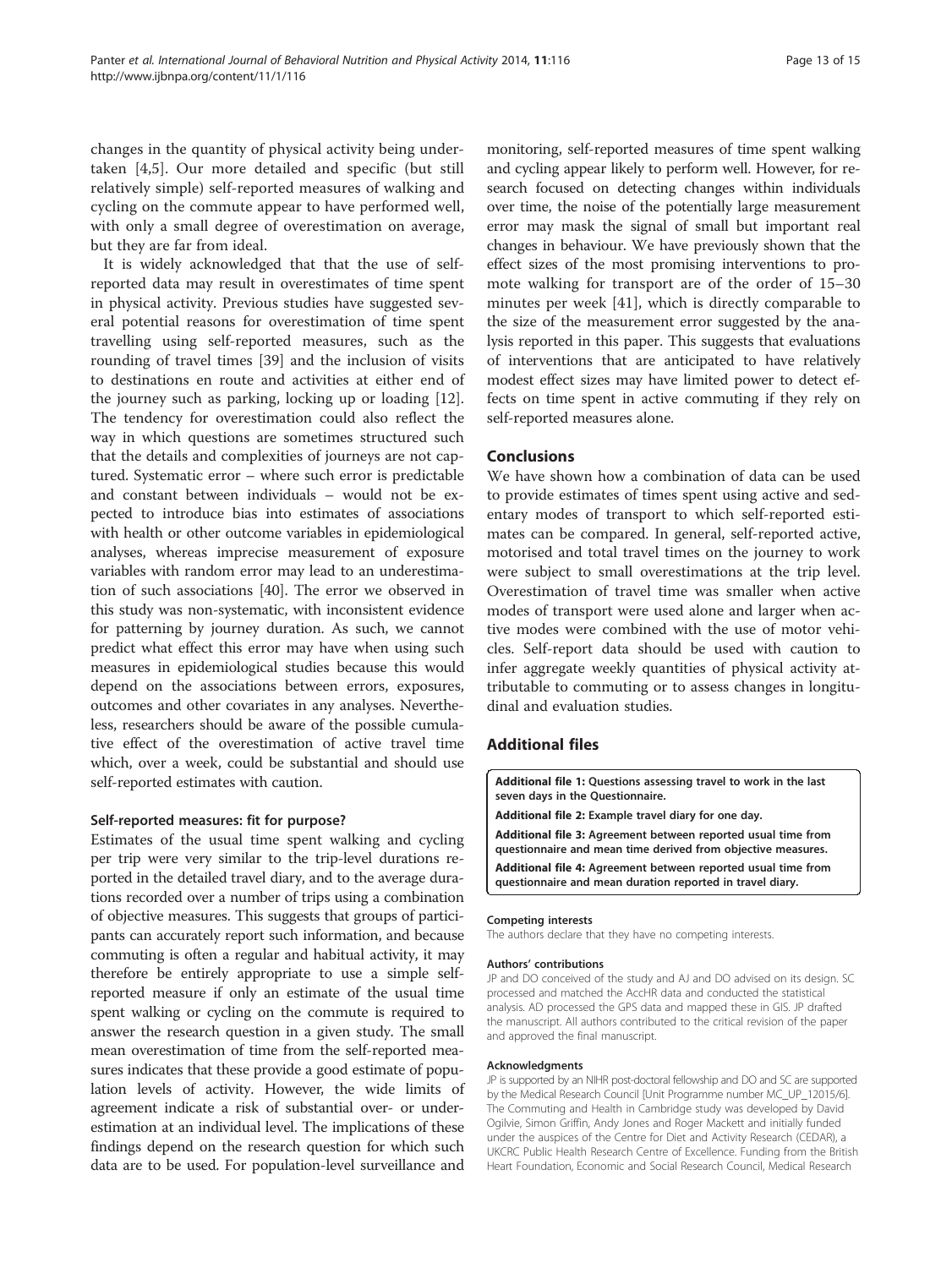<span id="page-12-0"></span>changes in the quantity of physical activity being undertaken [[4,5\]](#page-13-0). Our more detailed and specific (but still relatively simple) self-reported measures of walking and cycling on the commute appear to have performed well, with only a small degree of overestimation on average, but they are far from ideal.

It is widely acknowledged that that the use of selfreported data may result in overestimates of time spent in physical activity. Previous studies have suggested several potential reasons for overestimation of time spent travelling using self-reported measures, such as the rounding of travel times [[39\]](#page-14-0) and the inclusion of visits to destinations en route and activities at either end of the journey such as parking, locking up or loading [\[12](#page-13-0)]. The tendency for overestimation could also reflect the way in which questions are sometimes structured such that the details and complexities of journeys are not captured. Systematic error – where such error is predictable and constant between individuals – would not be expected to introduce bias into estimates of associations with health or other outcome variables in epidemiological analyses, whereas imprecise measurement of exposure variables with random error may lead to an underestimation of such associations [\[40\]](#page-14-0). The error we observed in this study was non-systematic, with inconsistent evidence for patterning by journey duration. As such, we cannot predict what effect this error may have when using such measures in epidemiological studies because this would depend on the associations between errors, exposures, outcomes and other covariates in any analyses. Nevertheless, researchers should be aware of the possible cumulative effect of the overestimation of active travel time which, over a week, could be substantial and should use self-reported estimates with caution.

#### Self-reported measures: fit for purpose?

Estimates of the usual time spent walking and cycling per trip were very similar to the trip-level durations reported in the detailed travel diary, and to the average durations recorded over a number of trips using a combination of objective measures. This suggests that groups of participants can accurately report such information, and because commuting is often a regular and habitual activity, it may therefore be entirely appropriate to use a simple selfreported measure if only an estimate of the usual time spent walking or cycling on the commute is required to answer the research question in a given study. The small mean overestimation of time from the self-reported measures indicates that these provide a good estimate of population levels of activity. However, the wide limits of agreement indicate a risk of substantial over- or underestimation at an individual level. The implications of these findings depend on the research question for which such data are to be used. For population-level surveillance and

monitoring, self-reported measures of time spent walking and cycling appear likely to perform well. However, for research focused on detecting changes within individuals over time, the noise of the potentially large measurement error may mask the signal of small but important real changes in behaviour. We have previously shown that the effect sizes of the most promising interventions to promote walking for transport are of the order of 15–30 minutes per week [\[41](#page-14-0)], which is directly comparable to the size of the measurement error suggested by the analysis reported in this paper. This suggests that evaluations of interventions that are anticipated to have relatively modest effect sizes may have limited power to detect effects on time spent in active commuting if they rely on self-reported measures alone.

#### Conclusions

We have shown how a combination of data can be used to provide estimates of times spent using active and sedentary modes of transport to which self-reported estimates can be compared. In general, self-reported active, motorised and total travel times on the journey to work were subject to small overestimations at the trip level. Overestimation of travel time was smaller when active modes of transport were used alone and larger when active modes were combined with the use of motor vehicles. Self-report data should be used with caution to infer aggregate weekly quantities of physical activity attributable to commuting or to assess changes in longitudinal and evaluation studies.

#### Additional files

[Additional file 1:](http://www.ijbnpa.org/content/supplementary/s12966-014-0116-x-s1.docx) Questions assessing travel to work in the last seven days in the Questionnaire.

[Additional file 2:](http://www.ijbnpa.org/content/supplementary/s12966-014-0116-x-s2.docx) Example travel diary for one day.

[Additional file 3:](http://www.ijbnpa.org/content/supplementary/s12966-014-0116-x-s3.docx) Agreement between reported usual time from questionnaire and mean time derived from objective measures.

[Additional file 4:](http://www.ijbnpa.org/content/supplementary/s12966-014-0116-x-s4.docx) Agreement between reported usual time from questionnaire and mean duration reported in travel diary.

#### Competing interests

The authors declare that they have no competing interests.

#### Authors' contributions

JP and DO conceived of the study and AJ and DO advised on its design. SC processed and matched the AccHR data and conducted the statistical analysis. AD processed the GPS data and mapped these in GIS. JP drafted the manuscript. All authors contributed to the critical revision of the paper and approved the final manuscript.

#### Acknowledgments

JP is supported by an NIHR post-doctoral fellowship and DO and SC are supported by the Medical Research Council [Unit Programme number MC\_UP\_12015/6]. The Commuting and Health in Cambridge study was developed by David Ogilvie, Simon Griffin, Andy Jones and Roger Mackett and initially funded under the auspices of the Centre for Diet and Activity Research (CEDAR), a UKCRC Public Health Research Centre of Excellence. Funding from the British Heart Foundation, Economic and Social Research Council, Medical Research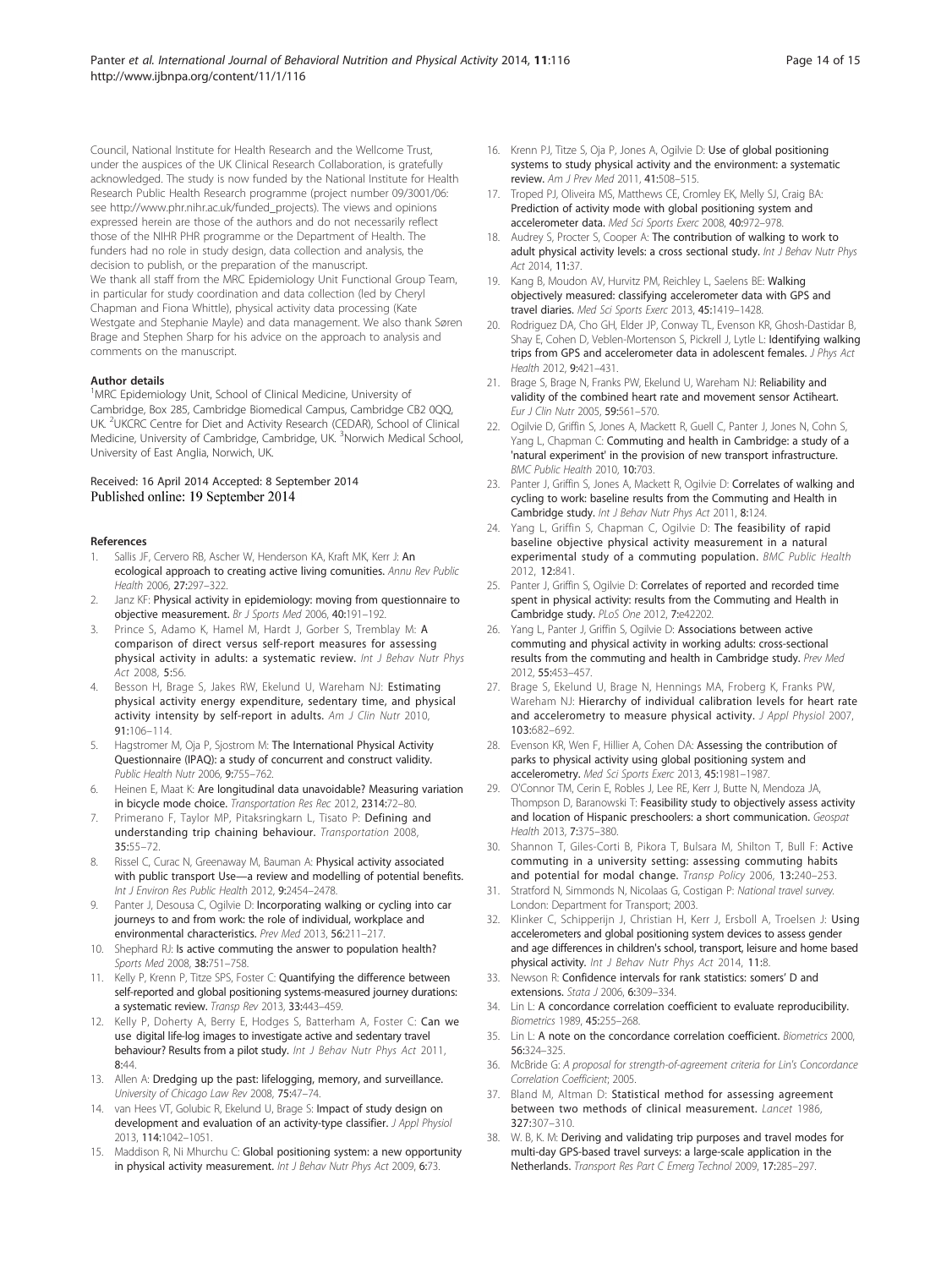<span id="page-13-0"></span>Council, National Institute for Health Research and the Wellcome Trust, under the auspices of the UK Clinical Research Collaboration, is gratefully acknowledged. The study is now funded by the National Institute for Health Research Public Health Research programme (project number 09/3001/06: see [http://www.phr.nihr.ac.uk/funded\\_projects](http://www.phr.nihr.ac.uk/funded_projects)). The views and opinions expressed herein are those of the authors and do not necessarily reflect those of the NIHR PHR programme or the Department of Health. The funders had no role in study design, data collection and analysis, the decision to publish, or the preparation of the manuscript. We thank all staff from the MRC Epidemiology Unit Functional Group Team, in particular for study coordination and data collection (led by Cheryl Chapman and Fiona Whittle), physical activity data processing (Kate Westgate and Stephanie Mayle) and data management. We also thank Søren Brage and Stephen Sharp for his advice on the approach to analysis and comments on the manuscript.

#### Author details

<sup>1</sup>MRC Epidemiology Unit, School of Clinical Medicine, University of Cambridge, Box 285, Cambridge Biomedical Campus, Cambridge CB2 0QQ, UK. <sup>2</sup>UKCRC Centre for Diet and Activity Research (CEDAR), School of Clinical Medicine, University of Cambridge, Cambridge, UK. <sup>3</sup>Norwich Medical School, University of East Anglia, Norwich, UK.

# Received: 16 April 2014 Accepted: 8 September 2014

#### References

- Sallis JF, Cervero RB, Ascher W, Henderson KA, Kraft MK, Kerr J: An ecological approach to creating active living comunities. Annu Rev Public Health 2006, 27:297–322.
- 2. Janz KF: Physical activity in epidemiology: moving from questionnaire to objective measurement. Br J Sports Med 2006, 40:191–192.
- 3. Prince S, Adamo K, Hamel M, Hardt J, Gorber S, Tremblay M: A comparison of direct versus self-report measures for assessing physical activity in adults: a systematic review. Int J Behav Nutr Phys Act 2008, 5:56.
- 4. Besson H, Brage S, Jakes RW, Ekelund U, Wareham NJ: Estimating physical activity energy expenditure, sedentary time, and physical activity intensity by self-report in adults. Am J Clin Nutr 2010, 91:106–114.
- 5. Hagstromer M, Oja P, Sjostrom M: The International Physical Activity Questionnaire (IPAQ): a study of concurrent and construct validity. Public Health Nutr 2006, 9:755–762.
- 6. Heinen E, Maat K: Are longitudinal data unavoidable? Measuring variation in bicycle mode choice. Transportation Res Rec 2012, 2314:72–80.
- 7. Primerano F, Taylor MP, Pitaksringkarn L, Tisato P: Defining and understanding trip chaining behaviour. Transportation 2008, 35:55–72.
- 8. Rissel C, Curac N, Greenaway M, Bauman A: Physical activity associated with public transport Use—a review and modelling of potential benefits. Int J Environ Res Public Health 2012, 9:2454-2478.
- Panter J, Desousa C, Ogilvie D: Incorporating walking or cycling into car journeys to and from work: the role of individual, workplace and environmental characteristics. Prev Med 2013, 56:211–217.
- 10. Shephard RJ: Is active commuting the answer to population health? Sports Med 2008, 38:751–758.
- 11. Kelly P, Krenn P, Titze SPS, Foster C: Quantifying the difference between self-reported and global positioning systems-measured journey durations: a systematic review. Transp Rev 2013, 33:443–459.
- 12. Kelly P, Doherty A, Berry E, Hodges S, Batterham A, Foster C: Can we use digital life-log images to investigate active and sedentary travel behaviour? Results from a pilot study. Int J Behav Nutr Phys Act 2011, 8:44.
- 13. Allen A: Dredging up the past: lifelogging, memory, and surveillance. University of Chicago Law Rev 2008, 75:47–74.
- 14. van Hees VT, Golubic R, Ekelund U, Brage S: Impact of study design on development and evaluation of an activity-type classifier. J Appl Physiol 2013, 114:1042–1051.
- 15. Maddison R, Ni Mhurchu C: Global positioning system: a new opportunity in physical activity measurement. Int J Behav Nutr Phys Act 2009, 6:73.
- 16. Krenn PJ, Titze S, Oja P, Jones A, Ogilvie D: Use of global positioning systems to study physical activity and the environment: a systematic review. Am J Prev Med 2011, 41:508–515.
- 17. Troped PJ, Oliveira MS, Matthews CE, Cromley EK, Melly SJ, Craig BA: Prediction of activity mode with global positioning system and accelerometer data. Med Sci Sports Exerc 2008, 40:972–978.
- 18. Audrey S, Procter S, Cooper A: The contribution of walking to work to adult physical activity levels: a cross sectional study. Int J Behav Nutr Phys Act 2014, 11:37.
- 19. Kang B, Moudon AV, Hurvitz PM, Reichley L, Saelens BE: Walking objectively measured: classifying accelerometer data with GPS and travel diaries. Med Sci Sports Exerc 2013, 45:1419–1428.
- 20. Rodriguez DA, Cho GH, Elder JP, Conway TL, Evenson KR, Ghosh-Dastidar B, Shay E, Cohen D, Veblen-Mortenson S, Pickrell J, Lytle L: Identifying walking trips from GPS and accelerometer data in adolescent females. J Phys Act Health 2012, 9:421–431.
- 21. Brage S, Brage N, Franks PW, Ekelund U, Wareham NJ: Reliability and validity of the combined heart rate and movement sensor Actiheart. Eur J Clin Nutr 2005, 59:561–570.
- 22. Ogilvie D, Griffin S, Jones A, Mackett R, Guell C, Panter J, Jones N, Cohn S, Yang L, Chapman C: Commuting and health in Cambridge: a study of a 'natural experiment' in the provision of new transport infrastructure. BMC Public Health 2010, 10:703.
- 23. Panter J, Griffin S, Jones A, Mackett R, Ogilvie D: Correlates of walking and cycling to work: baseline results from the Commuting and Health in Cambridge study. Int J Behav Nutr Phys Act 2011, 8:124.
- 24. Yang L, Griffin S, Chapman C, Ogilvie D: The feasibility of rapid baseline objective physical activity measurement in a natural experimental study of a commuting population. BMC Public Health 2012, 12:841.
- 25. Panter J, Griffin S, Ogilvie D: Correlates of reported and recorded time spent in physical activity: results from the Commuting and Health in Cambridge study. PLoS One 2012, 7:e42202.
- 26. Yang L, Panter J, Griffin S, Ogilvie D: Associations between active commuting and physical activity in working adults: cross-sectional results from the commuting and health in Cambridge study. Prev Med 2012, 55:453–457.
- 27. Brage S, Ekelund U, Brage N, Hennings MA, Froberg K, Franks PW, Wareham NJ: Hierarchy of individual calibration levels for heart rate and accelerometry to measure physical activity. J Appl Physiol 2007, 103:682–692.
- 28. Evenson KR, Wen F, Hillier A, Cohen DA: Assessing the contribution of parks to physical activity using global positioning system and accelerometry. Med Sci Sports Exerc 2013, 45:1981–1987.
- 29. O'Connor TM, Cerin E, Robles J, Lee RE, Kerr J, Butte N, Mendoza JA, Thompson D, Baranowski T: Feasibility study to objectively assess activity and location of Hispanic preschoolers: a short communication. Geospat Health 2013, 7:375–380.
- 30. Shannon T, Giles-Corti B, Pikora T, Bulsara M, Shilton T, Bull F: Active commuting in a university setting: assessing commuting habits and potential for modal change. Transp Policy 2006, 13:240-253.
- 31. Stratford N, Simmonds N, Nicolaas G, Costigan P: National travel survey. London: Department for Transport; 2003.
- 32. Klinker C, Schipperijn J, Christian H, Kerr J, Ersboll A, Troelsen J: Using accelerometers and global positioning system devices to assess gender and age differences in children's school, transport, leisure and home based physical activity. Int J Behav Nutr Phys Act 2014, 11:8.
- 33. Newson R: Confidence intervals for rank statistics: somers' D and extensions. Stata J 2006, 6:309–334.
- 34. Lin L: A concordance correlation coefficient to evaluate reproducibility. Biometrics 1989, 45:255–268.
- 35. Lin L: A note on the concordance correlation coefficient. Biometrics 2000, 56:324–325.
- 36. McBride G: A proposal for strength-of-agreement criteria for Lin's Concordance Correlation Coefficient; 2005.
- 37. Bland M, Altman D: Statistical method for assessing agreement between two methods of clinical measurement. Lancet 1986, 327:307–310.
- 38. W. B, K. M: Deriving and validating trip purposes and travel modes for multi-day GPS-based travel surveys: a large-scale application in the Netherlands. Transport Res Part C Emerg Technol 2009, 17:285–297.